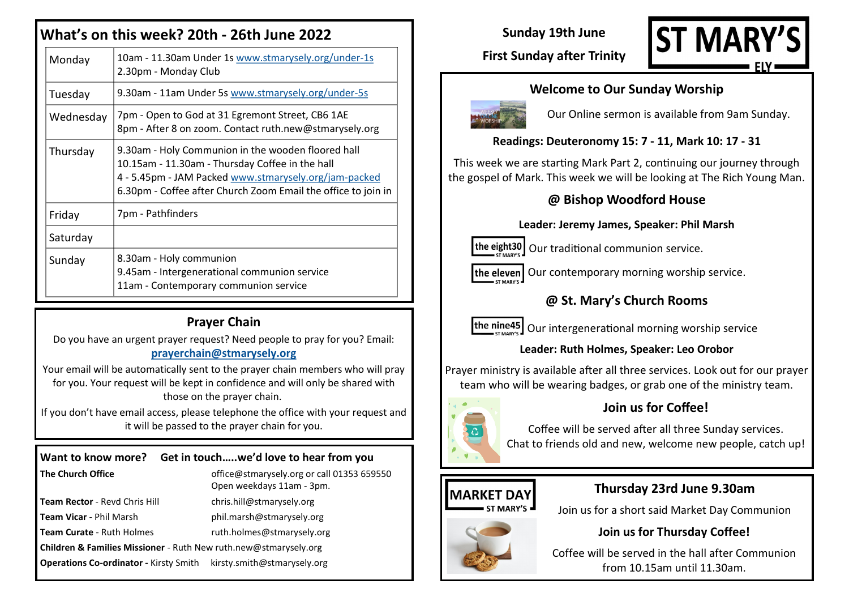# **What's on this week? 20th - 26th June 2022**

| Monday    | 10am - 11.30am Under 1s www.stmarysely.org/under-1s<br>2.30pm - Monday Club                                                                                                                                                     |
|-----------|---------------------------------------------------------------------------------------------------------------------------------------------------------------------------------------------------------------------------------|
| Tuesday   | 9.30am - 11am Under 5s www.stmarysely.org/under-5s                                                                                                                                                                              |
| Wednesday | 7pm - Open to God at 31 Egremont Street, CB6 1AE<br>8pm - After 8 on zoom. Contact ruth.new@stmarysely.org                                                                                                                      |
| Thursday  | 9.30am - Holy Communion in the wooden floored hall<br>10.15am - 11.30am - Thursday Coffee in the hall<br>4 - 5.45pm - JAM Packed www.stmarysely.org/jam-packed<br>6.30pm - Coffee after Church Zoom Email the office to join in |
| Friday    | 7pm - Pathfinders                                                                                                                                                                                                               |
| Saturday  |                                                                                                                                                                                                                                 |
| Sunday    | 8.30am - Holy communion<br>9.45am - Intergenerational communion service<br>11am - Contemporary communion service                                                                                                                |

## **Prayer Chain**

Do you have an urgent prayer request? Need people to pray for you? Email: **[prayerchain@stmarysely.org](mailto:prayerchain@stmarysely.org)**

Your email will be automatically sent to the prayer chain members who will pray for you. Your request will be kept in confidence and will only be shared with those on the prayer chain.

If you don't have email access, please telephone the office with your request and it will be passed to the prayer chain for you.

| Want to know more? Get in touchwe'd love to hear from you                   |                                                                         |  |  |
|-----------------------------------------------------------------------------|-------------------------------------------------------------------------|--|--|
| The Church Office                                                           | office@stmarysely.org or call 01353 659550<br>Open weekdays 11am - 3pm. |  |  |
| Team Rector - Revd Chris Hill                                               | chris.hill@stmarysely.org                                               |  |  |
| Team Vicar - Phil Marsh                                                     | phil.marsh@stmarysely.org                                               |  |  |
| Team Curate - Ruth Holmes                                                   | ruth.holmes@stmarysely.org                                              |  |  |
| <b>Children &amp; Families Missioner</b> - Ruth New ruth.new@stmarysely.org |                                                                         |  |  |
| Operations Co-ordinator - Kirsty Smith kirsty.smith@stmarysely.org          |                                                                         |  |  |

# **Sunday 19th June**



## **First Sunday after Trinity**

#### **Welcome to Our Sunday Worship**



Our Online sermon is available from 9am Sunday.

#### **Readings: Deuteronomy 15: 7 - 11, Mark 10: 17 - 31**

This week we are starting Mark Part 2, continuing our journey through the gospel of Mark. This week we will be looking at The Rich Young Man.

#### **@ Bishop Woodford House**

#### **Leader: Jeremy James, Speaker: Phil Marsh**



 $\vert$ the eight30  $\vert$  Our traditional communion service.

 $\vert$  the eleven $\vert$  Our contemporary morning worship service.

## **@ St. Mary's Church Rooms**

the nine45 Our intergenerational morning worship service

#### **Leader: Ruth Holmes, Speaker: Leo Orobor**

Prayer ministry is available after all three services. Look out for our prayer team who will be wearing badges, or grab one of the ministry team.



### **Join us for Coffee!**

Coffee will be served after all three Sunday services. Chat to friends old and new, welcome new people, catch up!

#### **MARKET DAY ST MARY'S**

#### **Thursday 23rd June 9.30am**

Join us for a short said Market Day Communion



#### **Join us for Thursday Coffee!**

Coffee will be served in the hall after Communion from 10.15am until 11.30am.